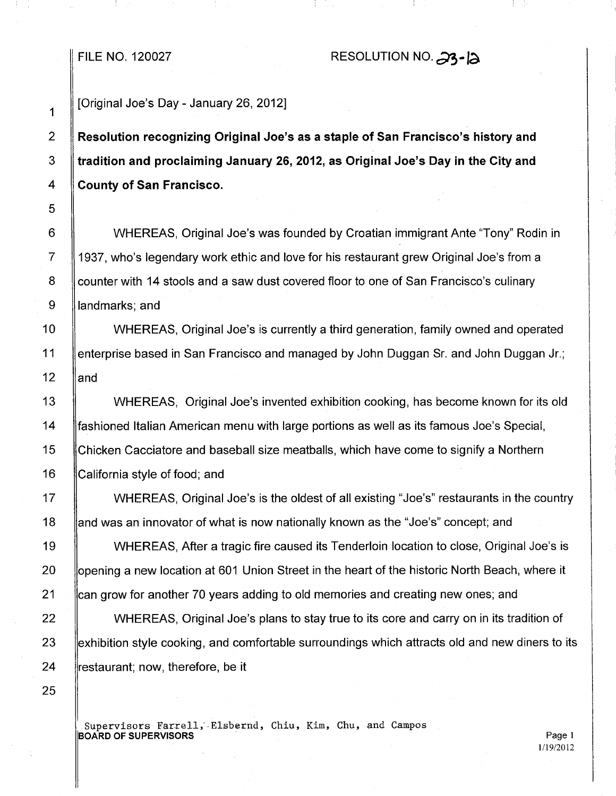## FILE NO. 120027 RESOLUTION NO.  $\partial$ 3-1a.

## [Original Joe's Day - January 26, 2012]

Resolution recognizing Original Joe's as a staple of San Francisco's history and tradition and proclaiming January 26, 2012, as Original Joe's Day in the City and County of San Francisco.

 WHEREAS, Original Joe's was founded by Croatian immigrant Ante "Tony" Rodin in 1937, who's legendary work ethic and love for his restaurant grew Original Joe's from a 8 Counter with 14 stools and a saw dust covered floor to one of San Francisco's culinary **landmarks**; and

10 | WHEREAS, Original Joe's is currently a third generation, family owned and operated 11 **lenterprise based in San Francisco and managed by John Duggan Sr. and John Duggan Jr.;** 12  $\parallel$  and

13 WHEREAS, Original Joe's invented exhibition cooking, has become known for its old 14 fashioned Italian American menu with large portions as well as its famous Joe's Special, 15 Chicken Cacciatore and baseball size meatballs, which have come to signify a Northern 16 California style of food; and

17 **WHEREAS, Original Joe's is the oldest of all existing "Joe's" restaurants in the country** 18 and was an innovator of what is now nationally known as the "Joe's" concept; and

19 WHEREAS, After a tragic fire caused its Tenderloin location to close, Original Joe's is 20 Sopening a new location at 601 Union Street in the heart of the historic North Beach, where it 21 lican grow for another 70 years adding to old memories and creating new ones; and

22 WHEREAS, Original Joe's plans to stay true to its core and carry on in its tradition of 23 exhibition style cooking, and comfortable surroundings which attracts old and new diners to its 24 **restaurant**; now, therefore, be it

Supervisors Farrell, Elsbernd, Chiu, Kim, Chu, and Campos **BOARD OF SUPERVISORS** Page 1

1/19/2012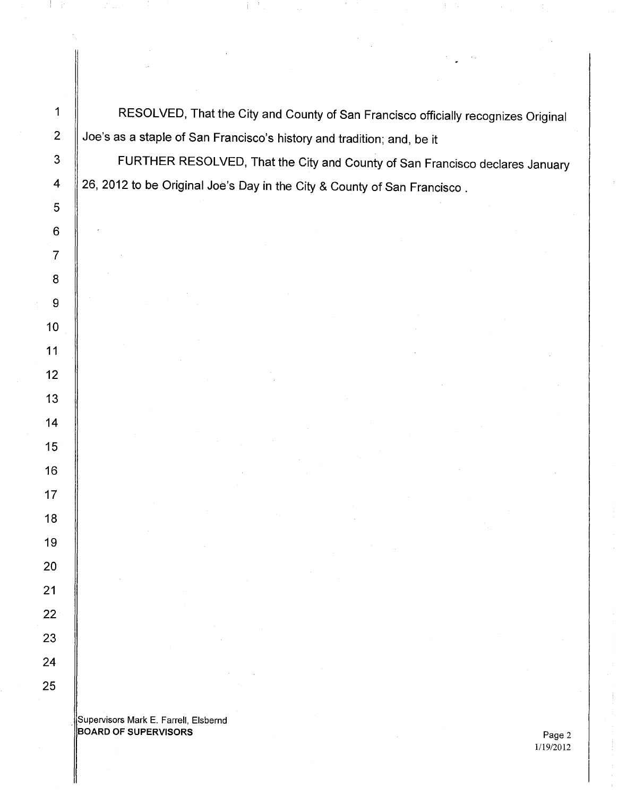**A** RESOLVED, That the City and County of San Francisco officially recognizes Original  $\parallel$  Joe's as a staple of San Francisco's history and tradition; and, be it 3 | FURTHER RESOLVED, That the City and County of San Francisco declares January  $\parallel$  26, 2012 to be Original Joe's Day in the City & County of San Francisco.

. Supervisors Mark E. Farrell, Elsbernd BOARD OF SUPERVISORS And the state of the state of the state of the state of the state of the state  $\Gamma$